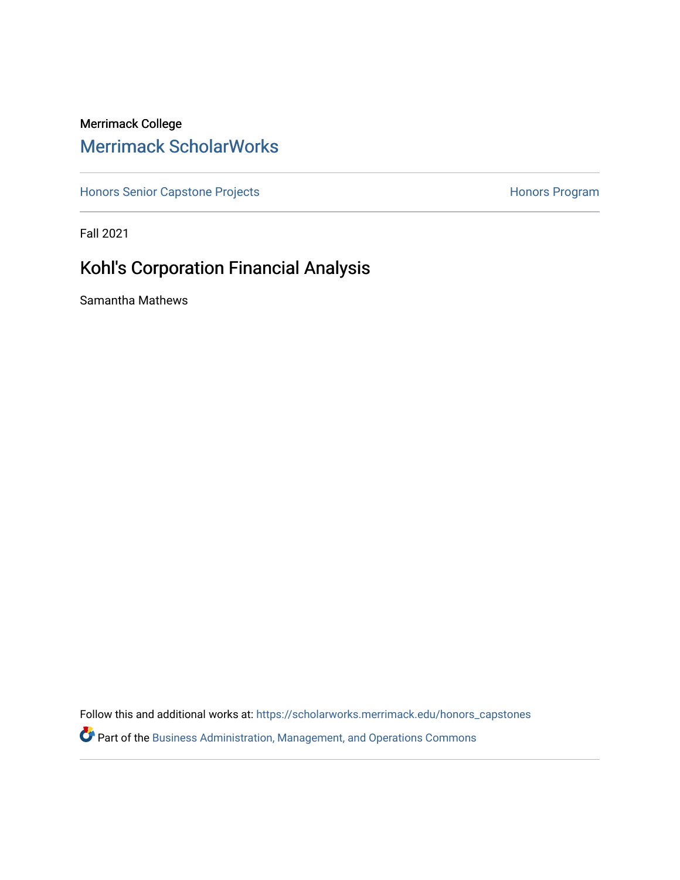# Merrimack College [Merrimack ScholarWorks](https://scholarworks.merrimack.edu/)

[Honors Senior Capstone Projects](https://scholarworks.merrimack.edu/honors_capstones) **Honors Program** Honors Program

Fall 2021

# Kohl's Corporation Financial Analysis

Samantha Mathews

Follow this and additional works at: [https://scholarworks.merrimack.edu/honors\\_capstones](https://scholarworks.merrimack.edu/honors_capstones?utm_source=scholarworks.merrimack.edu%2Fhonors_capstones%2F61&utm_medium=PDF&utm_campaign=PDFCoverPages)

Part of the [Business Administration, Management, and Operations Commons](http://network.bepress.com/hgg/discipline/623?utm_source=scholarworks.merrimack.edu%2Fhonors_capstones%2F61&utm_medium=PDF&utm_campaign=PDFCoverPages)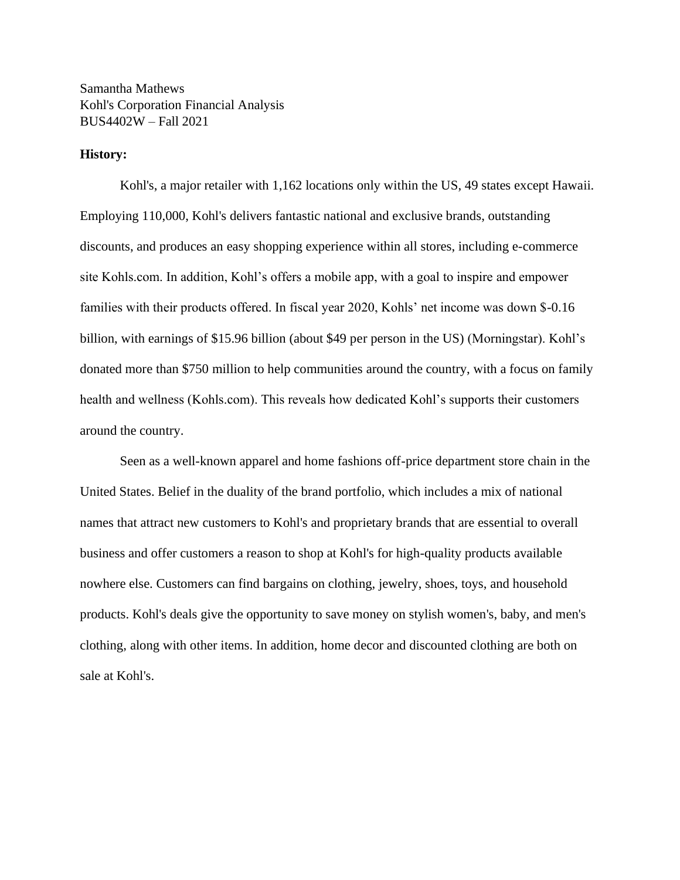Samantha Mathews Kohl's Corporation Financial Analysis BUS4402W – Fall 2021

## **History:**

Kohl's, a major retailer with 1,162 locations only within the US, 49 states except Hawaii. Employing 110,000, Kohl's delivers fantastic national and exclusive brands, outstanding discounts, and produces an easy shopping experience within all stores, including e-commerce site Kohls.com. In addition, Kohl's offers a mobile app, with a goal to inspire and empower families with their products offered. In fiscal year 2020, Kohls' net income was down \$-0.16 billion, with earnings of \$15.96 billion (about \$49 per person in the US) (Morningstar). Kohl's donated more than \$750 million to help communities around the country, with a focus on family health and wellness (Kohls.com). This reveals how dedicated Kohl's supports their customers around the country.

Seen as a well-known apparel and home fashions off-price department store chain in the United States. Belief in the duality of the brand portfolio, which includes a mix of national names that attract new customers to Kohl's and proprietary brands that are essential to overall business and offer customers a reason to shop at Kohl's for high-quality products available nowhere else. Customers can find bargains on clothing, jewelry, shoes, toys, and household products. Kohl's deals give the opportunity to save money on stylish women's, baby, and men's clothing, along with other items. In addition, home decor and discounted clothing are both on sale at Kohl's.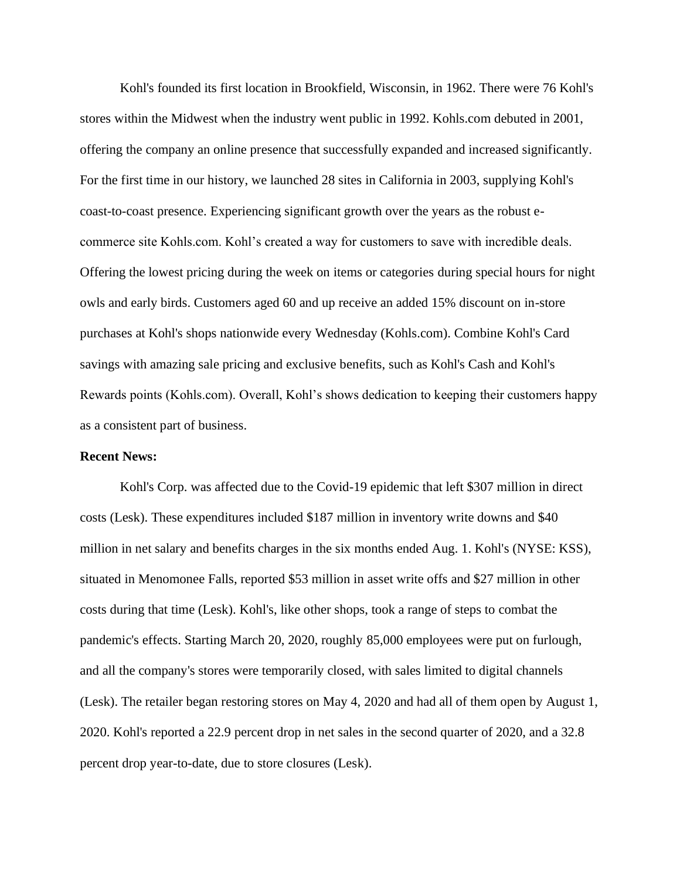Kohl's founded its first location in Brookfield, Wisconsin, in 1962. There were 76 Kohl's stores within the Midwest when the industry went public in 1992. Kohls.com debuted in 2001, offering the company an online presence that successfully expanded and increased significantly. For the first time in our history, we launched 28 sites in California in 2003, supplying Kohl's coast-to-coast presence. Experiencing significant growth over the years as the robust ecommerce site Kohls.com. Kohl's created a way for customers to save with incredible deals. Offering the lowest pricing during the week on items or categories during special hours for night owls and early birds. Customers aged 60 and up receive an added 15% discount on in-store purchases at Kohl's shops nationwide every Wednesday (Kohls.com). Combine Kohl's Card savings with amazing sale pricing and exclusive benefits, such as Kohl's Cash and Kohl's Rewards points (Kohls.com). Overall, Kohl's shows dedication to keeping their customers happy as a consistent part of business.

#### **Recent News:**

Kohl's Corp. was affected due to the Covid-19 epidemic that left \$307 million in direct costs (Lesk). These expenditures included \$187 million in inventory write downs and \$40 million in net salary and benefits charges in the six months ended Aug. 1. Kohl's (NYSE: KSS), situated in Menomonee Falls, reported \$53 million in asset write offs and \$27 million in other costs during that time (Lesk). Kohl's, like other shops, took a range of steps to combat the pandemic's effects. Starting March 20, 2020, roughly 85,000 employees were put on furlough, and all the company's stores were temporarily closed, with sales limited to digital channels (Lesk). The retailer began restoring stores on May 4, 2020 and had all of them open by August 1, 2020. Kohl's reported a 22.9 percent drop in net sales in the second quarter of 2020, and a 32.8 percent drop year-to-date, due to store closures (Lesk).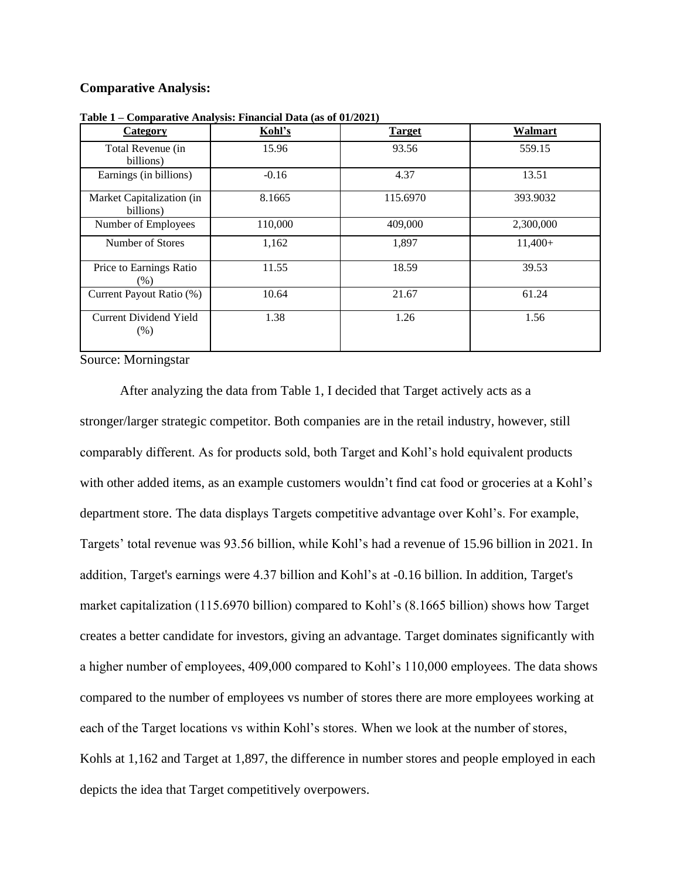# **Comparative Analysis:**

| <u>Category</u>                        | Kohl's  | <b>Target</b> | <b>Walmart</b> |  |  |
|----------------------------------------|---------|---------------|----------------|--|--|
| Total Revenue (in<br>billions)         | 15.96   | 93.56         | 559.15         |  |  |
| Earnings (in billions)                 | $-0.16$ | 4.37          | 13.51          |  |  |
| Market Capitalization (in<br>billions) | 8.1665  | 115.6970      | 393.9032       |  |  |
| Number of Employees                    | 110,000 | 409,000       | 2,300,000      |  |  |
| Number of Stores                       | 1,162   | 1,897         | $11,400+$      |  |  |
| Price to Earnings Ratio<br>(% )        | 11.55   | 18.59         | 39.53          |  |  |
| Current Payout Ratio (%)               | 10.64   | 21.67         | 61.24          |  |  |
| <b>Current Dividend Yield</b><br>(% )  | 1.38    | 1.26          | 1.56           |  |  |

**Table 1 – Comparative Analysis: Financial Data (as of 01/2021)**

Source: Morningstar

After analyzing the data from Table 1, I decided that Target actively acts as a stronger/larger strategic competitor. Both companies are in the retail industry, however, still comparably different. As for products sold, both Target and Kohl's hold equivalent products with other added items, as an example customers wouldn't find cat food or groceries at a Kohl's department store. The data displays Targets competitive advantage over Kohl's. For example, Targets' total revenue was 93.56 billion, while Kohl's had a revenue of 15.96 billion in 2021. In addition, Target's earnings were 4.37 billion and Kohl's at -0.16 billion. In addition, Target's market capitalization (115.6970 billion) compared to Kohl's (8.1665 billion) shows how Target creates a better candidate for investors, giving an advantage. Target dominates significantly with a higher number of employees, 409,000 compared to Kohl's 110,000 employees. The data shows compared to the number of employees vs number of stores there are more employees working at each of the Target locations vs within Kohl's stores. When we look at the number of stores, Kohls at 1,162 and Target at 1,897, the difference in number stores and people employed in each depicts the idea that Target competitively overpowers.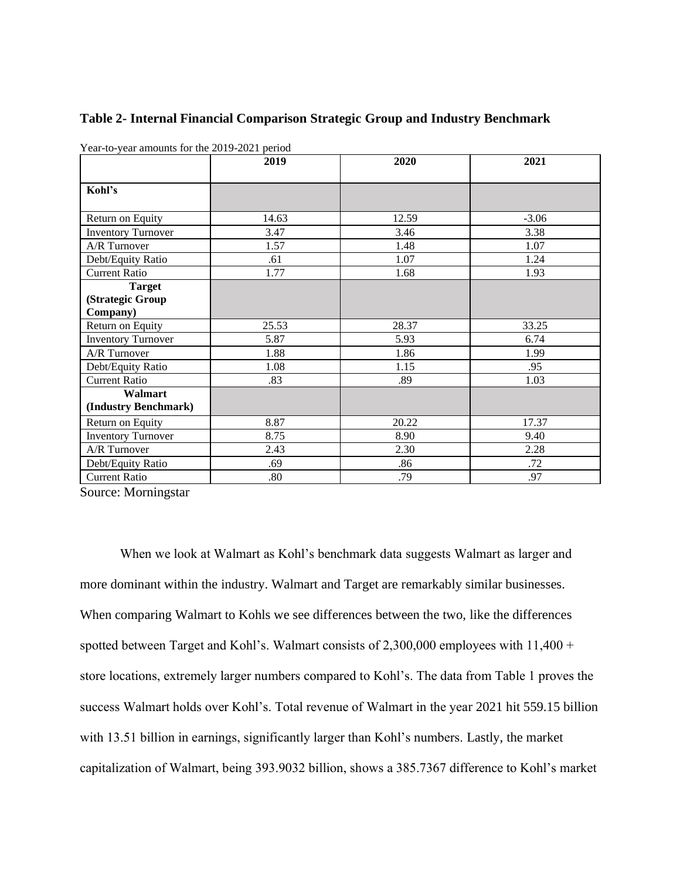| $1 \text{ cm}$ to year amounts for the 2019 2021 period | 2019  | 2021  |         |  |
|---------------------------------------------------------|-------|-------|---------|--|
|                                                         |       | 2020  |         |  |
| Kohl's                                                  |       |       |         |  |
|                                                         |       |       |         |  |
| Return on Equity                                        | 14.63 | 12.59 | $-3.06$ |  |
| <b>Inventory Turnover</b>                               | 3.47  | 3.46  | 3.38    |  |
| A/R Turnover                                            | 1.57  | 1.48  | 1.07    |  |
| Debt/Equity Ratio                                       | .61   | 1.07  | 1.24    |  |
| <b>Current Ratio</b>                                    | 1.77  | 1.68  | 1.93    |  |
| <b>Target</b>                                           |       |       |         |  |
| (Strategic Group                                        |       |       |         |  |
| Company)                                                |       |       |         |  |
| Return on Equity                                        | 25.53 | 28.37 | 33.25   |  |
| <b>Inventory Turnover</b>                               | 5.87  | 5.93  | 6.74    |  |
| A/R Turnover                                            | 1.88  | 1.86  | 1.99    |  |
| Debt/Equity Ratio                                       | 1.08  | 1.15  | .95     |  |
| <b>Current Ratio</b>                                    | .83   | .89   | 1.03    |  |
| Walmart                                                 |       |       |         |  |
| (Industry Benchmark)                                    |       |       |         |  |
| Return on Equity                                        | 8.87  | 20.22 | 17.37   |  |
| <b>Inventory Turnover</b>                               | 8.75  | 8.90  | 9.40    |  |
| A/R Turnover                                            | 2.43  | 2.30  | 2.28    |  |
| Debt/Equity Ratio                                       | .69   | .86   | .72     |  |
| <b>Current Ratio</b>                                    | .80   | .79   | .97     |  |

# **Table 2- Internal Financial Comparison Strategic Group and Industry Benchmark**

Year-to-year amounts for the 2019-2021 period

Source: Morningstar

When we look at Walmart as Kohl's benchmark data suggests Walmart as larger and more dominant within the industry. Walmart and Target are remarkably similar businesses. When comparing Walmart to Kohls we see differences between the two, like the differences spotted between Target and Kohl's. Walmart consists of 2,300,000 employees with  $11,400 +$ store locations, extremely larger numbers compared to Kohl's. The data from Table 1 proves the success Walmart holds over Kohl's. Total revenue of Walmart in the year 2021 hit 559.15 billion with 13.51 billion in earnings, significantly larger than Kohl's numbers. Lastly, the market capitalization of Walmart, being 393.9032 billion, shows a 385.7367 difference to Kohl's market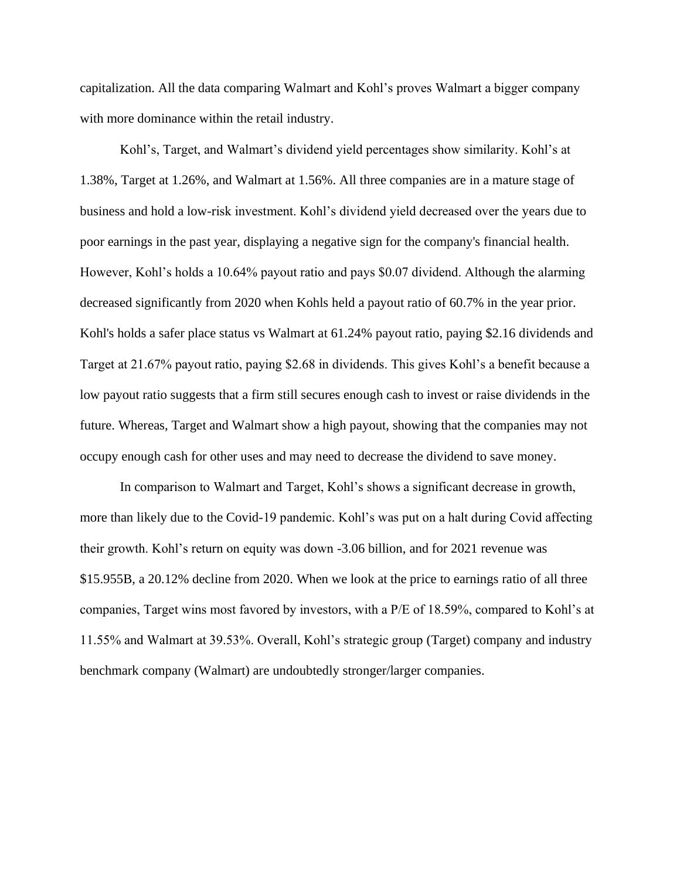capitalization. All the data comparing Walmart and Kohl's proves Walmart a bigger company with more dominance within the retail industry.

Kohl's, Target, and Walmart's dividend yield percentages show similarity. Kohl's at 1.38%, Target at 1.26%, and Walmart at 1.56%. All three companies are in a mature stage of business and hold a low-risk investment. Kohl's dividend yield decreased over the years due to poor earnings in the past year, displaying a negative sign for the company's financial health. However, Kohl's holds a 10.64% payout ratio and pays \$0.07 dividend. Although the alarming decreased significantly from 2020 when Kohls held a payout ratio of 60.7% in the year prior. Kohl's holds a safer place status vs Walmart at 61.24% payout ratio, paying \$2.16 dividends and Target at 21.67% payout ratio, paying \$2.68 in dividends. This gives Kohl's a benefit because a low payout ratio suggests that a firm still secures enough cash to invest or raise dividends in the future. Whereas, Target and Walmart show a high payout, showing that the companies may not occupy enough cash for other uses and may need to decrease the dividend to save money.

In comparison to Walmart and Target, Kohl's shows a significant decrease in growth, more than likely due to the Covid-19 pandemic. Kohl's was put on a halt during Covid affecting their growth. Kohl's return on equity was down -3.06 billion, and for 2021 revenue was \$15.955B, a 20.12% decline from 2020. When we look at the price to earnings ratio of all three companies, Target wins most favored by investors, with a P/E of 18.59%, compared to Kohl's at 11.55% and Walmart at 39.53%. Overall, Kohl's strategic group (Target) company and industry benchmark company (Walmart) are undoubtedly stronger/larger companies.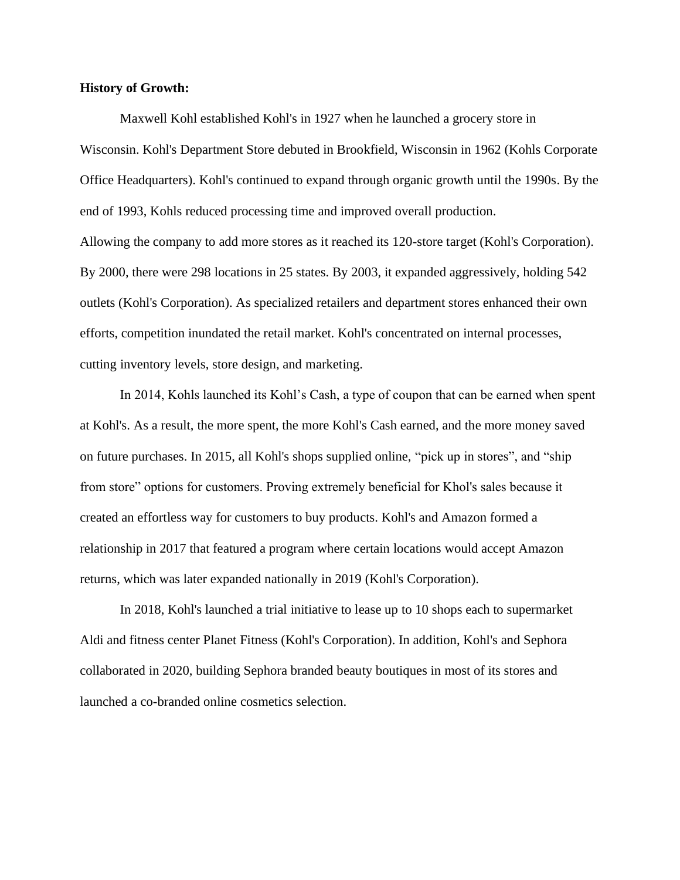## **History of Growth:**

Maxwell Kohl established Kohl's in 1927 when he launched a grocery store in Wisconsin. Kohl's Department Store debuted in Brookfield, Wisconsin in 1962 (Kohls Corporate Office Headquarters). Kohl's continued to expand through organic growth until the 1990s. By the end of 1993, Kohls reduced processing time and improved overall production. Allowing the company to add more stores as it reached its 120-store target (Kohl's Corporation). By 2000, there were 298 locations in 25 states. By 2003, it expanded aggressively, holding 542

outlets (Kohl's Corporation). As specialized retailers and department stores enhanced their own efforts, competition inundated the retail market. Kohl's concentrated on internal processes, cutting inventory levels, store design, and marketing.

In 2014, Kohls launched its Kohl's Cash, a type of coupon that can be earned when spent at Kohl's. As a result, the more spent, the more Kohl's Cash earned, and the more money saved on future purchases. In 2015, all Kohl's shops supplied online, "pick up in stores", and "ship from store" options for customers. Proving extremely beneficial for Khol's sales because it created an effortless way for customers to buy products. Kohl's and Amazon formed a relationship in 2017 that featured a program where certain locations would accept Amazon returns, which was later expanded nationally in 2019 (Kohl's Corporation).

In 2018, Kohl's launched a trial initiative to lease up to 10 shops each to supermarket Aldi and fitness center Planet Fitness (Kohl's Corporation). In addition, Kohl's and Sephora collaborated in 2020, building Sephora branded beauty boutiques in most of its stores and launched a co-branded online cosmetics selection.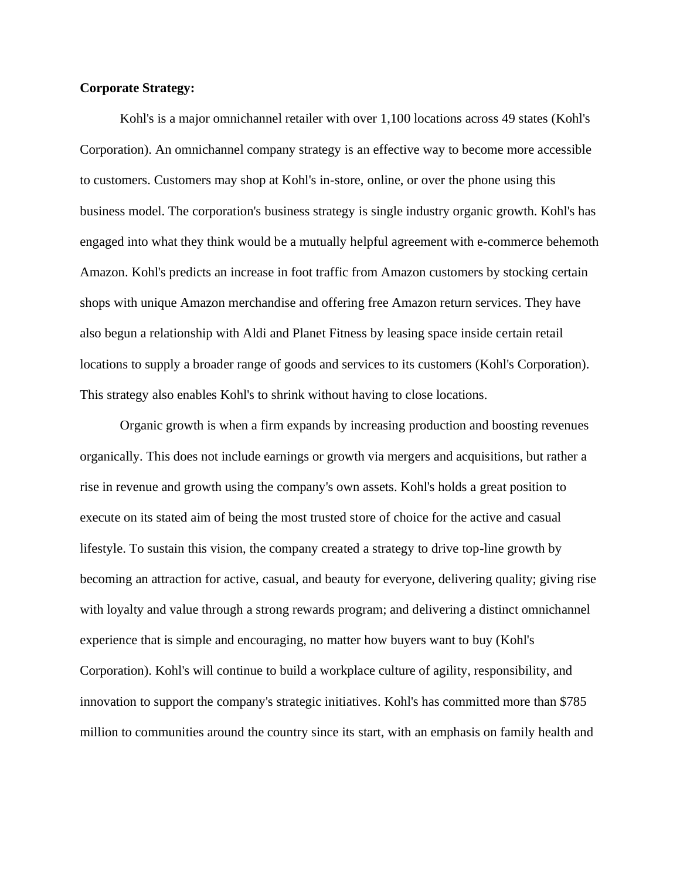# **Corporate Strategy:**

Kohl's is a major omnichannel retailer with over 1,100 locations across 49 states (Kohl's Corporation). An omnichannel company strategy is an effective way to become more accessible to customers. Customers may shop at Kohl's in-store, online, or over the phone using this business model. The corporation's business strategy is single industry organic growth. Kohl's has engaged into what they think would be a mutually helpful agreement with e-commerce behemoth Amazon. Kohl's predicts an increase in foot traffic from Amazon customers by stocking certain shops with unique Amazon merchandise and offering free Amazon return services. They have also begun a relationship with Aldi and Planet Fitness by leasing space inside certain retail locations to supply a broader range of goods and services to its customers (Kohl's Corporation). This strategy also enables Kohl's to shrink without having to close locations.

Organic growth is when a firm expands by increasing production and boosting revenues organically. This does not include earnings or growth via mergers and acquisitions, but rather a rise in revenue and growth using the company's own assets. Kohl's holds a great position to execute on its stated aim of being the most trusted store of choice for the active and casual lifestyle. To sustain this vision, the company created a strategy to drive top-line growth by becoming an attraction for active, casual, and beauty for everyone, delivering quality; giving rise with loyalty and value through a strong rewards program; and delivering a distinct omnichannel experience that is simple and encouraging, no matter how buyers want to buy (Kohl's Corporation). Kohl's will continue to build a workplace culture of agility, responsibility, and innovation to support the company's strategic initiatives. Kohl's has committed more than \$785 million to communities around the country since its start, with an emphasis on family health and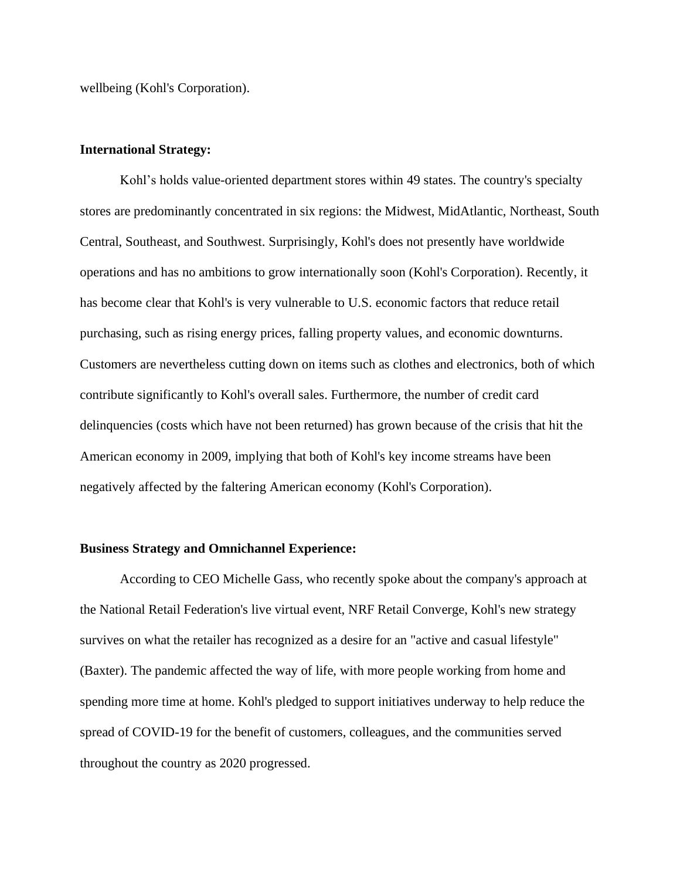wellbeing (Kohl's Corporation).

## **International Strategy:**

Kohl's holds value-oriented department stores within 49 states. The country's specialty stores are predominantly concentrated in six regions: the Midwest, MidAtlantic, Northeast, South Central, Southeast, and Southwest. Surprisingly, Kohl's does not presently have worldwide operations and has no ambitions to grow internationally soon (Kohl's Corporation). Recently, it has become clear that Kohl's is very vulnerable to U.S. economic factors that reduce retail purchasing, such as rising energy prices, falling property values, and economic downturns. Customers are nevertheless cutting down on items such as clothes and electronics, both of which contribute significantly to Kohl's overall sales. Furthermore, the number of credit card delinquencies (costs which have not been returned) has grown because of the crisis that hit the American economy in 2009, implying that both of Kohl's key income streams have been negatively affected by the faltering American economy (Kohl's Corporation).

#### **Business Strategy and Omnichannel Experience:**

According to CEO Michelle Gass, who recently spoke about the company's approach at the National Retail Federation's live virtual event, NRF Retail Converge, Kohl's new strategy survives on what the retailer has recognized as a desire for an "active and casual lifestyle" (Baxter). The pandemic affected the way of life, with more people working from home and spending more time at home. Kohl's pledged to support initiatives underway to help reduce the spread of COVID-19 for the benefit of customers, colleagues, and the communities served throughout the country as 2020 progressed.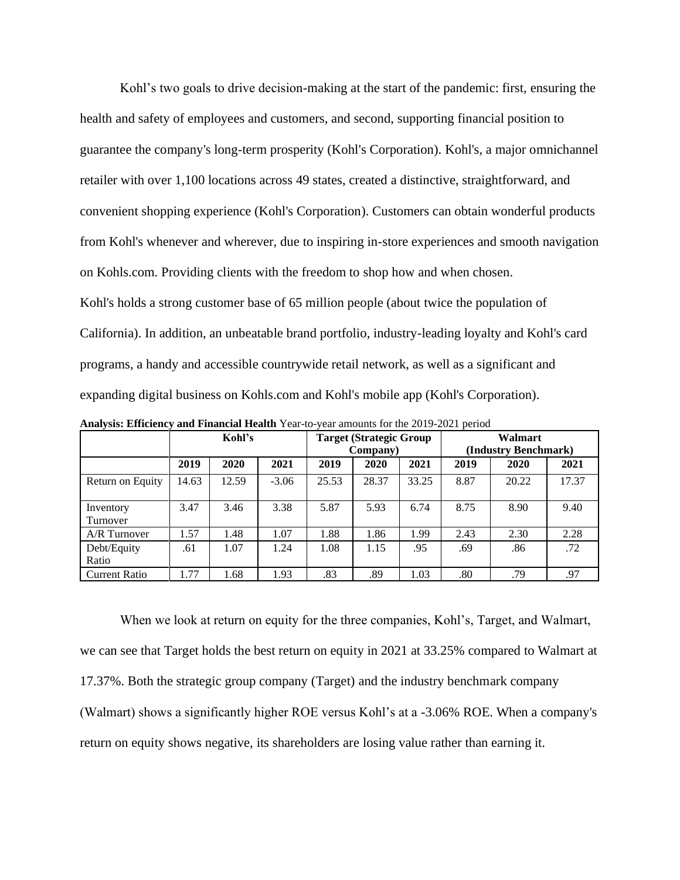Kohl's two goals to drive decision-making at the start of the pandemic: first, ensuring the health and safety of employees and customers, and second, supporting financial position to guarantee the company's long-term prosperity (Kohl's Corporation). Kohl's, a major omnichannel retailer with over 1,100 locations across 49 states, created a distinctive, straightforward, and convenient shopping experience (Kohl's Corporation). Customers can obtain wonderful products from Kohl's whenever and wherever, due to inspiring in-store experiences and smooth navigation on Kohls.com. Providing clients with the freedom to shop how and when chosen. Kohl's holds a strong customer base of 65 million people (about twice the population of California). In addition, an unbeatable brand portfolio, industry-leading loyalty and Kohl's card programs, a handy and accessible countrywide retail network, as well as a significant and expanding digital business on Kohls.com and Kohl's mobile app (Kohl's Corporation).

|                       | $\mathbf{r}$ , $\mathbf{r}$ , $\mathbf{r}$ , $\mathbf{r}$ , $\mathbf{r}$ , $\mathbf{r}$ , $\mathbf{r}$ , $\mathbf{r}$ , $\mathbf{r}$ , $\mathbf{r}$ , $\mathbf{r}$ , $\mathbf{r}$ , $\mathbf{r}$ , $\mathbf{r}$ , $\mathbf{r}$ , $\mathbf{r}$ , $\mathbf{r}$ , $\mathbf{r}$ , $\mathbf{r}$ , $\mathbf{r}$ , |       |         |                                |       |                      |      |       |       |
|-----------------------|-------------------------------------------------------------------------------------------------------------------------------------------------------------------------------------------------------------------------------------------------------------------------------------------------------------|-------|---------|--------------------------------|-------|----------------------|------|-------|-------|
|                       | Kohl's                                                                                                                                                                                                                                                                                                      |       |         | <b>Target (Strategic Group</b> |       | Walmart              |      |       |       |
|                       |                                                                                                                                                                                                                                                                                                             |       |         | Company)                       |       | (Industry Benchmark) |      |       |       |
|                       | 2019                                                                                                                                                                                                                                                                                                        | 2020  | 2021    | 2019                           | 2020  | 2021                 | 2019 | 2020  | 2021  |
| Return on Equity      | 14.63                                                                                                                                                                                                                                                                                                       | 12.59 | $-3.06$ | 25.53                          | 28.37 | 33.25                | 8.87 | 20.22 | 17.37 |
| Inventory<br>Turnover | 3.47                                                                                                                                                                                                                                                                                                        | 3.46  | 3.38    | 5.87                           | 5.93  | 6.74                 | 8.75 | 8.90  | 9.40  |
| A/R Turnover          | 1.57                                                                                                                                                                                                                                                                                                        | 1.48  | 1.07    | 1.88                           | 1.86  | 1.99                 | 2.43 | 2.30  | 2.28  |
| Debt/Equity<br>Ratio  | .61                                                                                                                                                                                                                                                                                                         | 1.07  | 1.24    | 1.08                           | 1.15  | .95                  | .69  | .86   | .72   |
| <b>Current Ratio</b>  | .77                                                                                                                                                                                                                                                                                                         | 1.68  | 1.93    | .83                            | .89   | 1.03                 | .80  | .79   | .97   |

**Analysis: Efficiency and Financial Health** Year-to-year amounts for the 2019-2021 period

When we look at return on equity for the three companies, Kohl's, Target, and Walmart, we can see that Target holds the best return on equity in 2021 at 33.25% compared to Walmart at 17.37%. Both the strategic group company (Target) and the industry benchmark company (Walmart) shows a significantly higher ROE versus Kohl's at a -3.06% ROE. When a company's return on equity shows negative, its shareholders are losing value rather than earning it.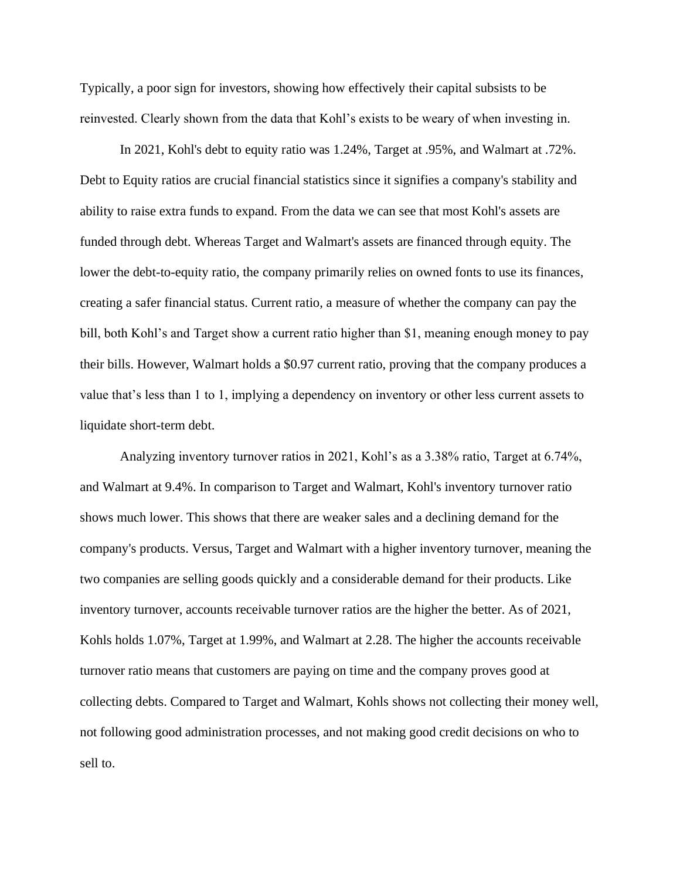Typically, a poor sign for investors, showing how effectively their capital subsists to be reinvested. Clearly shown from the data that Kohl's exists to be weary of when investing in.

In 2021, Kohl's debt to equity ratio was 1.24%, Target at .95%, and Walmart at .72%. Debt to Equity ratios are crucial financial statistics since it signifies a company's stability and ability to raise extra funds to expand. From the data we can see that most Kohl's assets are funded through debt. Whereas Target and Walmart's assets are financed through equity. The lower the debt-to-equity ratio, the company primarily relies on owned fonts to use its finances, creating a safer financial status. Current ratio, a measure of whether the company can pay the bill, both Kohl's and Target show a current ratio higher than \$1, meaning enough money to pay their bills. However, Walmart holds a \$0.97 current ratio, proving that the company produces a value that's less than 1 to 1, implying a dependency on inventory or other less current assets to liquidate short-term debt.

Analyzing inventory turnover ratios in 2021, Kohl's as a 3.38% ratio, Target at 6.74%, and Walmart at 9.4%. In comparison to Target and Walmart, Kohl's inventory turnover ratio shows much lower. This shows that there are weaker sales and a declining demand for the company's products. Versus, Target and Walmart with a higher inventory turnover, meaning the two companies are selling goods quickly and a considerable demand for their products. Like inventory turnover, accounts receivable turnover ratios are the higher the better. As of 2021, Kohls holds 1.07%, Target at 1.99%, and Walmart at 2.28. The higher the accounts receivable turnover ratio means that customers are paying on time and the company proves good at collecting debts. Compared to Target and Walmart, Kohls shows not collecting their money well, not following good administration processes, and not making good credit decisions on who to sell to.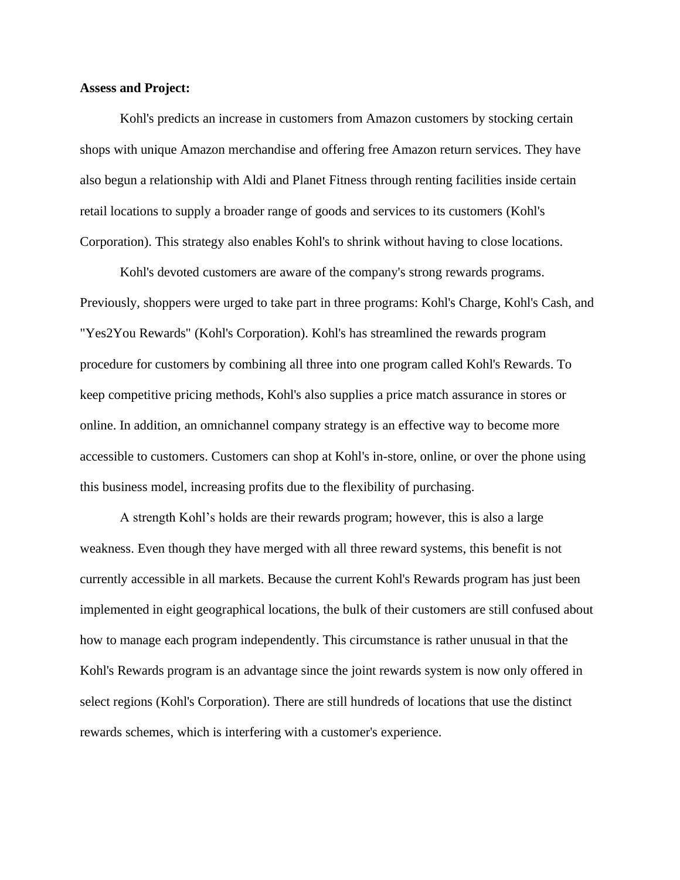## **Assess and Project:**

Kohl's predicts an increase in customers from Amazon customers by stocking certain shops with unique Amazon merchandise and offering free Amazon return services. They have also begun a relationship with Aldi and Planet Fitness through renting facilities inside certain retail locations to supply a broader range of goods and services to its customers (Kohl's Corporation). This strategy also enables Kohl's to shrink without having to close locations.

Kohl's devoted customers are aware of the company's strong rewards programs. Previously, shoppers were urged to take part in three programs: Kohl's Charge, Kohl's Cash, and "Yes2You Rewards" (Kohl's Corporation). Kohl's has streamlined the rewards program procedure for customers by combining all three into one program called Kohl's Rewards. To keep competitive pricing methods, Kohl's also supplies a price match assurance in stores or online. In addition, an omnichannel company strategy is an effective way to become more accessible to customers. Customers can shop at Kohl's in-store, online, or over the phone using this business model, increasing profits due to the flexibility of purchasing.

A strength Kohl's holds are their rewards program; however, this is also a large weakness. Even though they have merged with all three reward systems, this benefit is not currently accessible in all markets. Because the current Kohl's Rewards program has just been implemented in eight geographical locations, the bulk of their customers are still confused about how to manage each program independently. This circumstance is rather unusual in that the Kohl's Rewards program is an advantage since the joint rewards system is now only offered in select regions (Kohl's Corporation). There are still hundreds of locations that use the distinct rewards schemes, which is interfering with a customer's experience.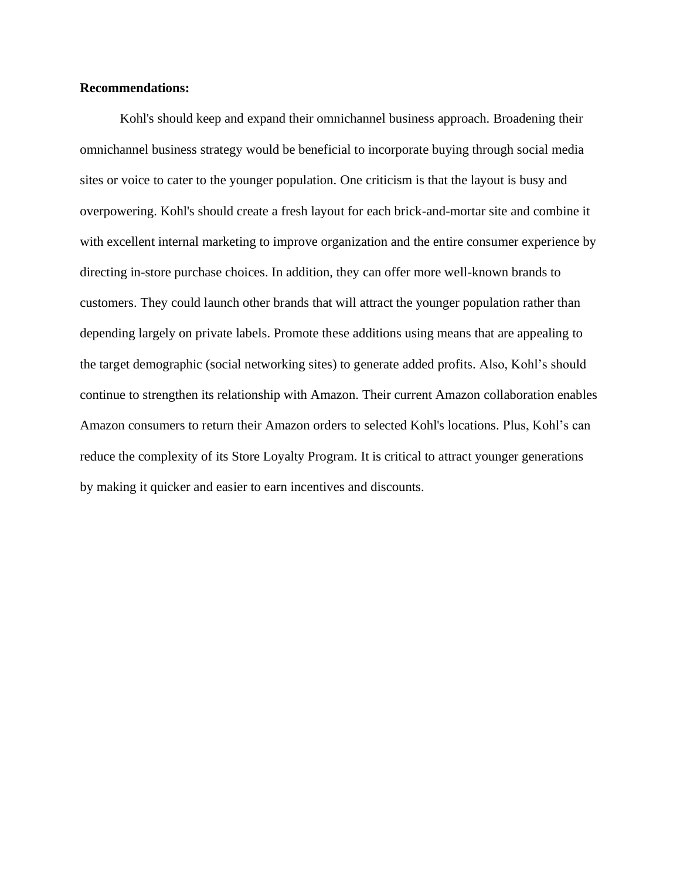## **Recommendations:**

Kohl's should keep and expand their omnichannel business approach. Broadening their omnichannel business strategy would be beneficial to incorporate buying through social media sites or voice to cater to the younger population. One criticism is that the layout is busy and overpowering. Kohl's should create a fresh layout for each brick-and-mortar site and combine it with excellent internal marketing to improve organization and the entire consumer experience by directing in-store purchase choices. In addition, they can offer more well-known brands to customers. They could launch other brands that will attract the younger population rather than depending largely on private labels. Promote these additions using means that are appealing to the target demographic (social networking sites) to generate added profits. Also, Kohl's should continue to strengthen its relationship with Amazon. Their current Amazon collaboration enables Amazon consumers to return their Amazon orders to selected Kohl's locations. Plus, Kohl's can reduce the complexity of its Store Loyalty Program. It is critical to attract younger generations by making it quicker and easier to earn incentives and discounts.